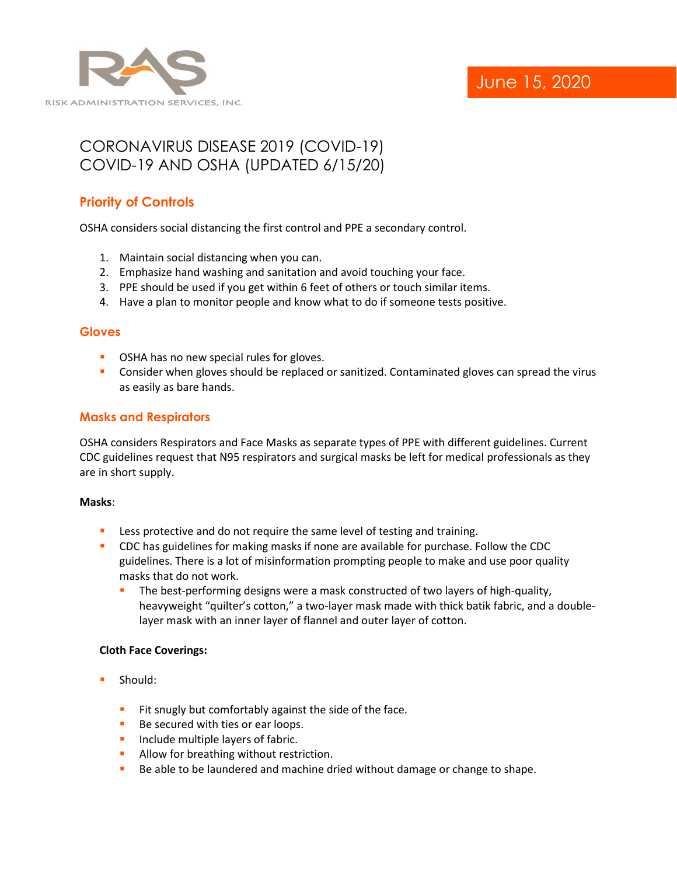

# CORONAVIRUS DISEASE 2019 (COVID-19) COVID-19 AND OSHA (UPDATED 6/15/20)

## **Priority of Controls**

OSHA considers social distancing the first control and PPE a secondary control.

- 1. Maintain social distancing when you can.
- 2. Emphasize hand washing and sanitation and avoid touching your face.
- 3. PPE should be used if you get within 6 feet of others or touch similar items.
- 4. Have a plan to monitor people and know what to do if someone tests positive.

#### **Gloves**

- OSHA has no new special rules for gloves.
- **•** Consider when gloves should be replaced or sanitized. Contaminated gloves can spread the virus as easily as bare hands.

### **Masks and Respirators**

OSHA considers Respirators and Face Masks as separate types of PPE with different guidelines. Current CDC guidelines request that N95 respirators and surgical masks be left for medical professionals as they are in short supply.

#### **Masks**:

- **EXECT:** Less protective and do not require the same level of testing and training.
- **CDC** has guidelines for making masks if none are available for purchase. Follow the CDC guidelines. There is a lot of misinformation prompting people to make and use poor quality masks that do not work.
	- **•** The best-performing designs were a mask constructed of two layers of high-quality, heavyweight "quilter's cotton," a two-layer mask made with thick batik fabric, and a doublelayer mask with an inner layer of flannel and outer layer of cotton.

#### **Cloth Face Coverings:**

- Should:
	- **EXECT:** Fit snugly but comfortably against the side of the face.
	- Be secured with ties or ear loops.
	- **·** Include multiple layers of fabric.
	- **E** Allow for breathing without restriction.
	- Be able to be laundered and machine dried without damage or change to shape.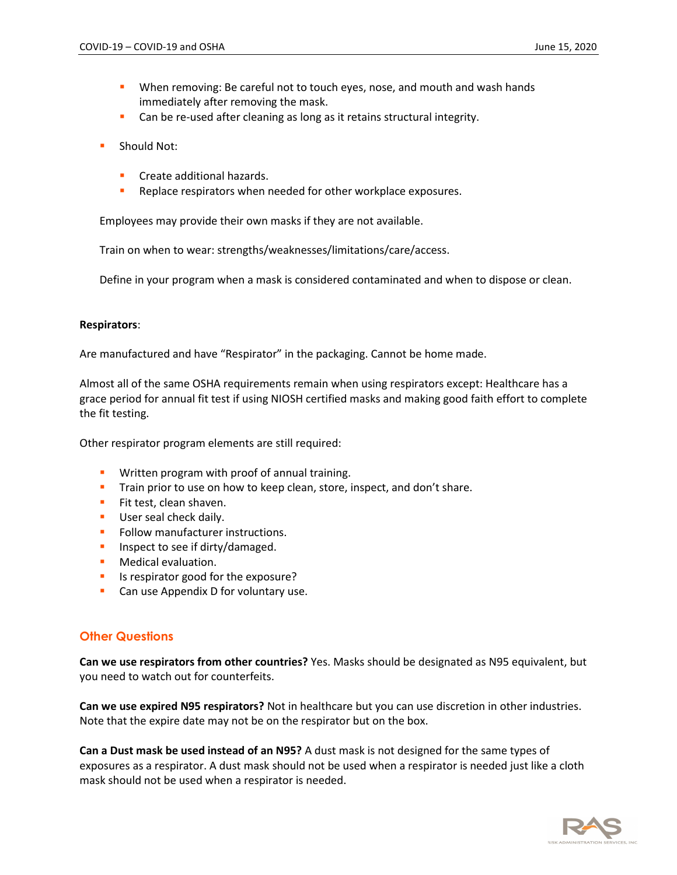- **■** When removing: Be careful not to touch eyes, nose, and mouth and wash hands immediately after removing the mask.
- Can be re-used after cleaning as long as it retains structural integrity.
- Should Not:
	- Create additional hazards.
	- Replace respirators when needed for other workplace exposures.

Employees may provide their own masks if they are not available.

Train on when to wear: strengths/weaknesses/limitations/care/access.

Define in your program when a mask is considered contaminated and when to dispose or clean.

#### **Respirators**:

Are manufactured and have "Respirator" in the packaging. Cannot be home made.

Almost all of the same OSHA requirements remain when using respirators except: Healthcare has a grace period for annual fit test if using NIOSH certified masks and making good faith effort to complete the fit testing.

Other respirator program elements are still required:

- **■** Written program with proof of annual training.
- **Train prior to use on how to keep clean, store, inspect, and don't share.**
- **EXECT:** Fit test, clean shaven.
- **■** User seal check daily.
- **•** Follow manufacturer instructions.
- **·** Inspect to see if dirty/damaged.
- **■** Medical evaluation.
- **EXPLO IS respirator good for the exposure?**
- Can use Appendix D for voluntary use.

#### **Other Questions**

**Can we use respirators from other countries?** Yes. Masks should be designated as N95 equivalent, but you need to watch out for counterfeits.

**Can we use expired N95 respirators?** Not in healthcare but you can use discretion in other industries. Note that the expire date may not be on the respirator but on the box.

**Can a Dust mask be used instead of an N95?** A dust mask is not designed for the same types of exposures as a respirator. A dust mask should not be used when a respirator is needed just like a cloth mask should not be used when a respirator is needed.

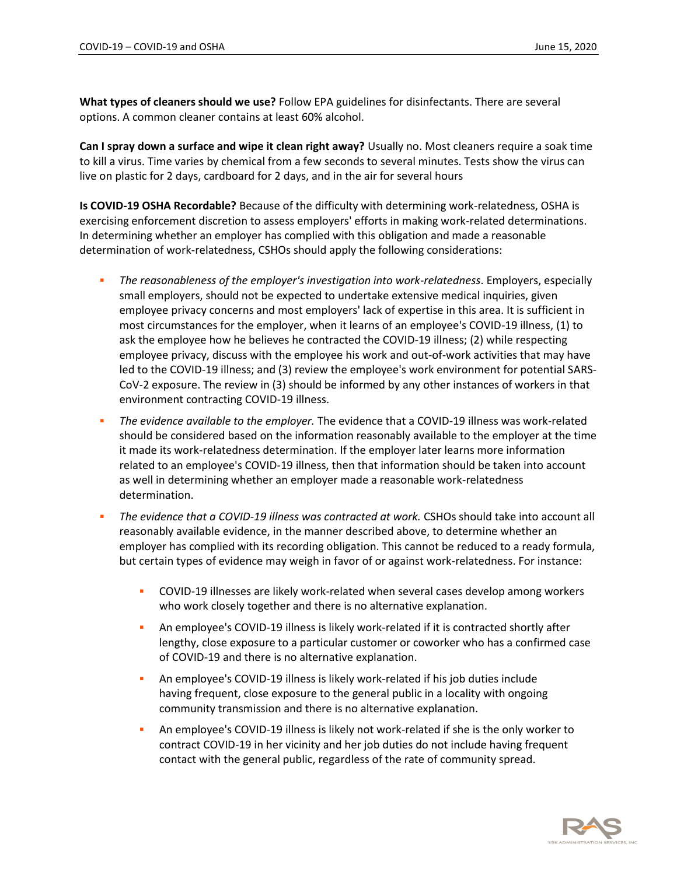**What types of cleaners should we use?** Follow EPA guidelines for disinfectants. There are several options. A common cleaner contains at least 60% alcohol.

**Can I spray down a surface and wipe it clean right away?** Usually no. Most cleaners require a soak time to kill a virus. Time varies by chemical from a few seconds to several minutes. Tests show the virus can live on plastic for 2 days, cardboard for 2 days, and in the air for several hours

**Is COVID-19 OSHA Recordable?** Because of the difficulty with determining work-relatedness, OSHA is exercising enforcement discretion to assess employers' efforts in making work-related determinations. In determining whether an employer has complied with this obligation and made a reasonable determination of work-relatedness, CSHOs should apply the following considerations:

- *The reasonableness of the employer's investigation into work-relatedness*. Employers, especially small employers, should not be expected to undertake extensive medical inquiries, given employee privacy concerns and most employers' lack of expertise in this area. It is sufficient in most circumstances for the employer, when it learns of an employee's COVID-19 illness, (1) to ask the employee how he believes he contracted the COVID-19 illness; (2) while respecting employee privacy, discuss with the employee his work and out-of-work activities that may have led to the COVID-19 illness; and (3) review the employee's work environment for potential SARS-CoV-2 exposure. The review in (3) should be informed by any other instances of workers in that environment contracting COVID-19 illness.
- *The evidence available to the employer.* The evidence that a COVID-19 illness was work-related should be considered based on the information reasonably available to the employer at the time it made its work-relatedness determination. If the employer later learns more information related to an employee's COVID-19 illness, then that information should be taken into account as well in determining whether an employer made a reasonable work-relatedness determination.
- The evidence that a COVID-19 illness was contracted at work. CSHOs should take into account all reasonably available evidence, in the manner described above, to determine whether an employer has complied with its recording obligation. This cannot be reduced to a ready formula, but certain types of evidence may weigh in favor of or against work-relatedness. For instance:
	- COVID-19 illnesses are likely work-related when several cases develop among workers who work closely together and there is no alternative explanation.
	- **•** An employee's COVID-19 illness is likely work-related if it is contracted shortly after lengthy, close exposure to a particular customer or coworker who has a confirmed case of COVID-19 and there is no alternative explanation.
	- An employee's COVID-19 illness is likely work-related if his job duties include having frequent, close exposure to the general public in a locality with ongoing community transmission and there is no alternative explanation.
	- An employee's COVID-19 illness is likely not work-related if she is the only worker to contract COVID-19 in her vicinity and her job duties do not include having frequent contact with the general public, regardless of the rate of community spread.